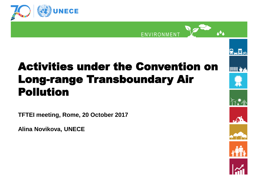



#### Activities under the Convention on Long-range Transboundary Air Pollution

**TFTEI meeting, Rome, 20 October 2017**

**Alina Novikova, UNECE**



⋺<mark>न</mark>∝

**THE SET OF STRAIGHT**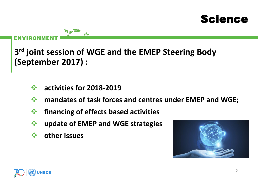#### Science

ENVIRONMENT

**3 rd joint session of WGE and the EMEP Steering Body (September 2017) :**

- **activities for 2018-2019**
- **mandates of task forces and centres under EMEP and WGE;**
- *<b>†* financing of effects based activities
- **update of EMEP and WGE strategies**
- **other issues**



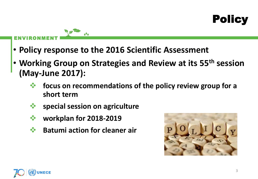## **Policy**

#### ENVIRONMENT

- **Policy response to the 2016 Scientific Assessment**
- **Working Group on Strategies and Review at its 55th session (May-June 2017):** 
	- **focus on recommendations of the policy review group for a short term**
	- **special session on agriculture**
	- **workplan for 2018-2019**
	- $\dots$  **Batumi action for cleaner air**



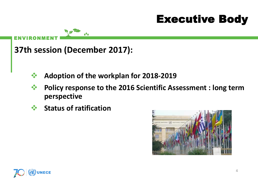## Executive Body

ENVIRONMENT

**37th session (December 2017):**

- **Adoption of the workplan for 2018-2019**
- **Policy response to the 2016 Scientific Assessment : long term perspective**
- **Status of ratification**



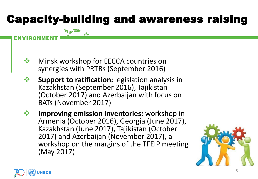# Capacity-building and awareness raising



- **<sup>◆</sup> Support to ratification:** legislation analysis in Kazakhstan (September 2016), Tajikistan (October 2017) and Azerbaijan with focus on BATs (November 2017)
- **<sup>◆</sup> Improving emission inventories:** workshop in Armenia (October 2016), Georgia (June 2017), Kazakhstan (June 2017), Tajikistan (October 2017) and Azerbaijan (November 2017), a workshop on the margins of the TFEIP meeting (May 2017)





ENVIRONMENT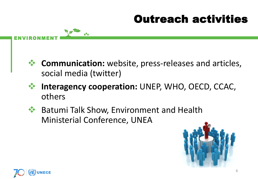# Outreach activities

- **Communication:** website, press-releases and articles, social media (twitter)
- **Interagency cooperation:** UNEP, WHO, OECD, CCAC, others
- Batumi Talk Show, Environment and Health Ministerial Conference, UNEA





ENVIRONMENT